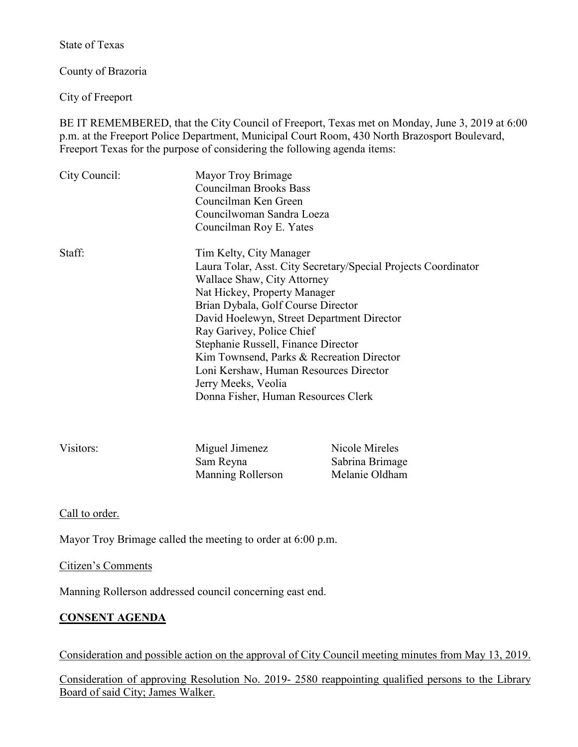State of Texas

County of Brazoria

City of Freeport

BE IT REMEMBERED, that the City Council of Freeport, Texas met on Monday, June 3, 2019 at 6:00 p.m. at the Freeport Police Department, Municipal Court Room, 430 North Brazosport Boulevard, Freeport Texas for the purpose of considering the following agenda items:

| City Council: | Mayor Troy Brimage<br>Councilman Brooks Bass<br>Councilman Ken Green<br>Councilwoman Sandra Loeza<br>Councilman Roy E. Yates                                                                                                                                                                                                                                                                                                                                          |
|---------------|-----------------------------------------------------------------------------------------------------------------------------------------------------------------------------------------------------------------------------------------------------------------------------------------------------------------------------------------------------------------------------------------------------------------------------------------------------------------------|
| Staff:        | Tim Kelty, City Manager<br>Laura Tolar, Asst. City Secretary/Special Projects Coordinator<br>Wallace Shaw, City Attorney<br>Nat Hickey, Property Manager<br>Brian Dybala, Golf Course Director<br>David Hoelewyn, Street Department Director<br>Ray Garivey, Police Chief<br>Stephanie Russell, Finance Director<br>Kim Townsend, Parks & Recreation Director<br>Loni Kershaw, Human Resources Director<br>Jerry Meeks, Veolia<br>Donna Fisher, Human Resources Clerk |

| Visitors: | Miguel Jimenez    | Nicole Mireles  |
|-----------|-------------------|-----------------|
|           | Sam Reyna         | Sabrina Brimage |
|           | Manning Rollerson | Melanie Oldham  |

Call to order.

Mayor Troy Brimage called the meeting to order at 6:00 p.m.

Citizen's Comments

Manning Rollerson addressed council concerning east end.

## **CONSENT AGENDA**

Consideration and possible action on the approval of City Council meeting minutes from May 13, 2019.

Consideration of approving Resolution No. 2019- 2580 reappointing qualified persons to the Library Board of said City; James Walker.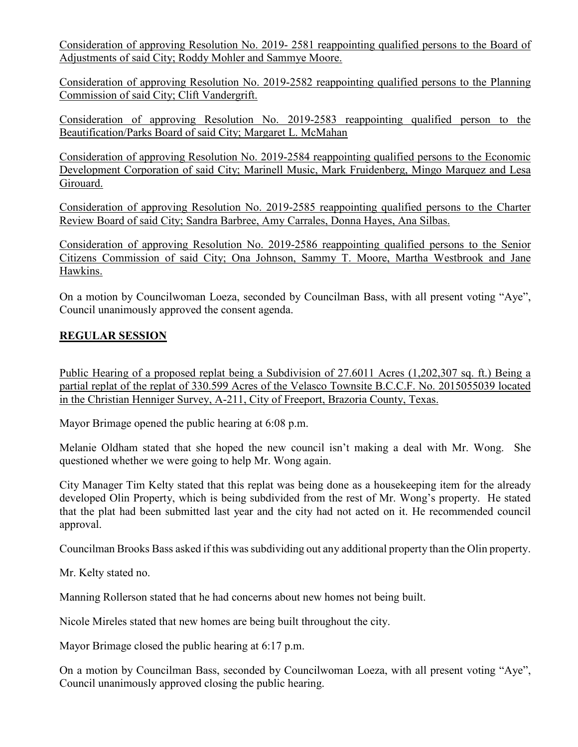Consideration of approving Resolution No. 2019- 2581 reappointing qualified persons to the Board of Adjustments of said City; Roddy Mohler and Sammye Moore.

Consideration of approving Resolution No. 2019-2582 reappointing qualified persons to the Planning Commission of said City; Clift Vandergrift.

Consideration of approving Resolution No. 2019-2583 reappointing qualified person to the Beautification/Parks Board of said City; Margaret L. McMahan

Consideration of approving Resolution No. 2019-2584 reappointing qualified persons to the Economic Development Corporation of said City; Marinell Music, Mark Fruidenberg, Mingo Marquez and Lesa Girouard.

Consideration of approving Resolution No. 2019-2585 reappointing qualified persons to the Charter Review Board of said City; Sandra Barbree, Amy Carrales, Donna Hayes, Ana Silbas.

Consideration of approving Resolution No. 2019-2586 reappointing qualified persons to the Senior Citizens Commission of said City; Ona Johnson, Sammy T. Moore, Martha Westbrook and Jane Hawkins.

On a motion by Councilwoman Loeza, seconded by Councilman Bass, with all present voting "Aye", Council unanimously approved the consent agenda.

# **REGULAR SESSION**

Public Hearing of a proposed replat being a Subdivision of 27.6011 Acres (1,202,307 sq. ft.) Being a partial replat of the replat of 330.599 Acres of the Velasco Townsite B.C.C.F. No. 2015055039 located in the Christian Henniger Survey, A-211, City of Freeport, Brazoria County, Texas.

Mayor Brimage opened the public hearing at 6:08 p.m.

Melanie Oldham stated that she hoped the new council isn't making a deal with Mr. Wong. She questioned whether we were going to help Mr. Wong again.

City Manager Tim Kelty stated that this replat was being done as a housekeeping item for the already developed Olin Property, which is being subdivided from the rest of Mr. Wong's property. He stated that the plat had been submitted last year and the city had not acted on it. He recommended council approval.

Councilman Brooks Bass asked if this was subdividing out any additional property than the Olin property.

Mr. Kelty stated no.

Manning Rollerson stated that he had concerns about new homes not being built.

Nicole Mireles stated that new homes are being built throughout the city.

Mayor Brimage closed the public hearing at 6:17 p.m.

On a motion by Councilman Bass, seconded by Councilwoman Loeza, with all present voting "Aye", Council unanimously approved closing the public hearing.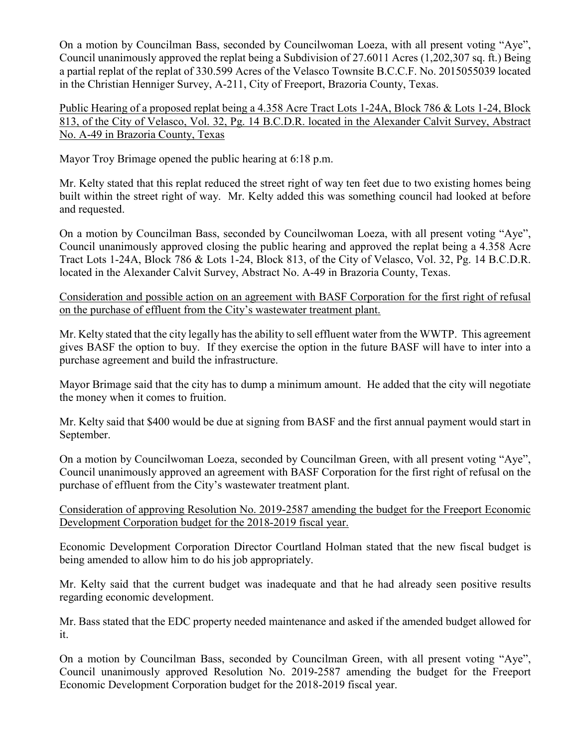On a motion by Councilman Bass, seconded by Councilwoman Loeza, with all present voting "Aye", Council unanimously approved the replat being a Subdivision of 27.6011 Acres (1,202,307 sq. ft.) Being a partial replat of the replat of 330.599 Acres of the Velasco Townsite B.C.C.F. No. 2015055039 located in the Christian Henniger Survey, A-211, City of Freeport, Brazoria County, Texas.

Public Hearing of a proposed replat being a 4.358 Acre Tract Lots 1-24A, Block 786 & Lots 1-24, Block 813, of the City of Velasco, Vol. 32, Pg. 14 B.C.D.R. located in the Alexander Calvit Survey, Abstract No. A-49 in Brazoria County, Texas

Mayor Troy Brimage opened the public hearing at 6:18 p.m.

Mr. Kelty stated that this replat reduced the street right of way ten feet due to two existing homes being built within the street right of way. Mr. Kelty added this was something council had looked at before and requested.

On a motion by Councilman Bass, seconded by Councilwoman Loeza, with all present voting "Aye", Council unanimously approved closing the public hearing and approved the replat being a 4.358 Acre Tract Lots 1-24A, Block 786 & Lots 1-24, Block 813, of the City of Velasco, Vol. 32, Pg. 14 B.C.D.R. located in the Alexander Calvit Survey, Abstract No. A-49 in Brazoria County, Texas.

Consideration and possible action on an agreement with BASF Corporation for the first right of refusal on the purchase of effluent from the City's wastewater treatment plant.

Mr. Kelty stated that the city legally has the ability to sell effluent water from the WWTP. This agreement gives BASF the option to buy. If they exercise the option in the future BASF will have to inter into a purchase agreement and build the infrastructure.

Mayor Brimage said that the city has to dump a minimum amount. He added that the city will negotiate the money when it comes to fruition.

Mr. Kelty said that \$400 would be due at signing from BASF and the first annual payment would start in September.

On a motion by Councilwoman Loeza, seconded by Councilman Green, with all present voting "Aye", Council unanimously approved an agreement with BASF Corporation for the first right of refusal on the purchase of effluent from the City's wastewater treatment plant.

Consideration of approving Resolution No. 2019-2587 amending the budget for the Freeport Economic Development Corporation budget for the 2018-2019 fiscal year.

Economic Development Corporation Director Courtland Holman stated that the new fiscal budget is being amended to allow him to do his job appropriately.

Mr. Kelty said that the current budget was inadequate and that he had already seen positive results regarding economic development.

Mr. Bass stated that the EDC property needed maintenance and asked if the amended budget allowed for it.

On a motion by Councilman Bass, seconded by Councilman Green, with all present voting "Aye", Council unanimously approved Resolution No. 2019-2587 amending the budget for the Freeport Economic Development Corporation budget for the 2018-2019 fiscal year.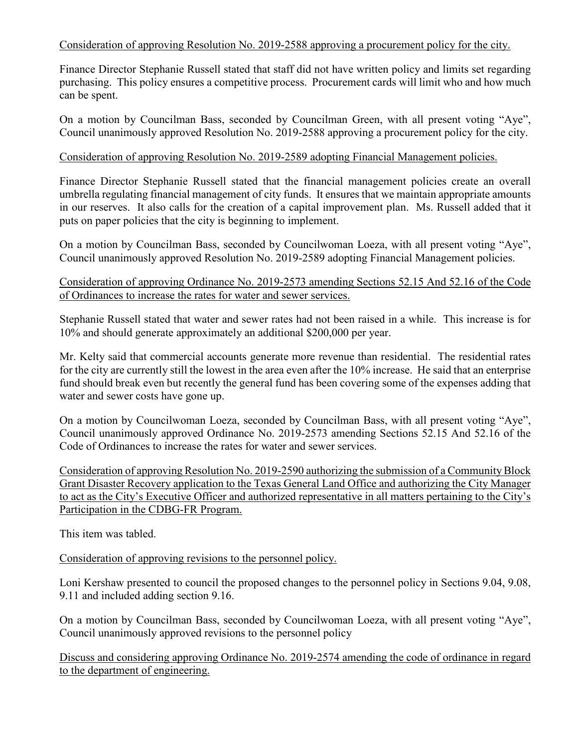Consideration of approving Resolution No. 2019-2588 approving a procurement policy for the city.

Finance Director Stephanie Russell stated that staff did not have written policy and limits set regarding purchasing. This policy ensures a competitive process. Procurement cards will limit who and how much can be spent.

On a motion by Councilman Bass, seconded by Councilman Green, with all present voting "Aye", Council unanimously approved Resolution No. 2019-2588 approving a procurement policy for the city.

## Consideration of approving Resolution No. 2019-2589 adopting Financial Management policies.

Finance Director Stephanie Russell stated that the financial management policies create an overall umbrella regulating financial management of city funds. It ensures that we maintain appropriate amounts in our reserves. It also calls for the creation of a capital improvement plan. Ms. Russell added that it puts on paper policies that the city is beginning to implement.

On a motion by Councilman Bass, seconded by Councilwoman Loeza, with all present voting "Aye", Council unanimously approved Resolution No. 2019-2589 adopting Financial Management policies.

## Consideration of approving Ordinance No. 2019-2573 amending Sections 52.15 And 52.16 of the Code of Ordinances to increase the rates for water and sewer services.

Stephanie Russell stated that water and sewer rates had not been raised in a while. This increase is for 10% and should generate approximately an additional \$200,000 per year.

Mr. Kelty said that commercial accounts generate more revenue than residential. The residential rates for the city are currently still the lowest in the area even after the 10% increase. He said that an enterprise fund should break even but recently the general fund has been covering some of the expenses adding that water and sewer costs have gone up.

On a motion by Councilwoman Loeza, seconded by Councilman Bass, with all present voting "Aye", Council unanimously approved Ordinance No. 2019-2573 amending Sections 52.15 And 52.16 of the Code of Ordinances to increase the rates for water and sewer services.

Consideration of approving Resolution No. 2019-2590 authorizing the submission of a Community Block Grant Disaster Recovery application to the Texas General Land Office and authorizing the City Manager to act as the City's Executive Officer and authorized representative in all matters pertaining to the City's Participation in the CDBG-FR Program.

This item was tabled.

Consideration of approving revisions to the personnel policy.

Loni Kershaw presented to council the proposed changes to the personnel policy in Sections 9.04, 9.08, 9.11 and included adding section 9.16.

On a motion by Councilman Bass, seconded by Councilwoman Loeza, with all present voting "Aye", Council unanimously approved revisions to the personnel policy

Discuss and considering approving Ordinance No. 2019-2574 amending the code of ordinance in regard to the department of engineering.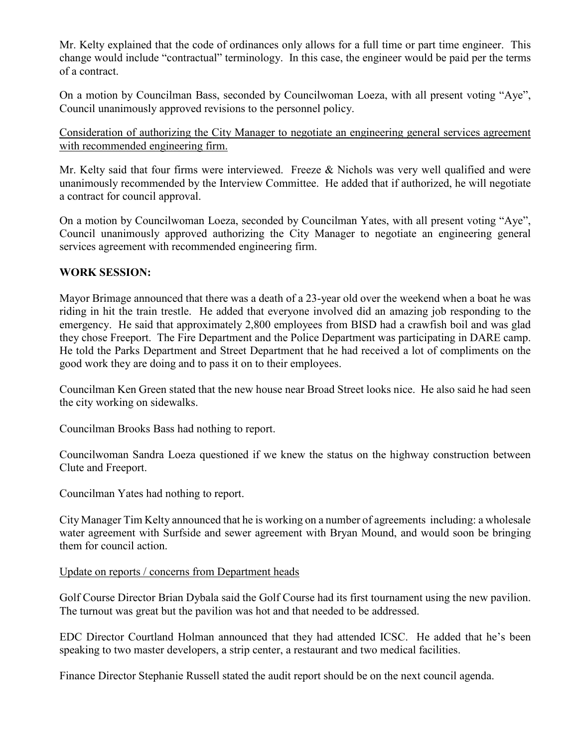Mr. Kelty explained that the code of ordinances only allows for a full time or part time engineer. This change would include "contractual" terminology. In this case, the engineer would be paid per the terms of a contract.

On a motion by Councilman Bass, seconded by Councilwoman Loeza, with all present voting "Aye", Council unanimously approved revisions to the personnel policy.

Consideration of authorizing the City Manager to negotiate an engineering general services agreement with recommended engineering firm.

Mr. Kelty said that four firms were interviewed. Freeze & Nichols was very well qualified and were unanimously recommended by the Interview Committee. He added that if authorized, he will negotiate a contract for council approval.

On a motion by Councilwoman Loeza, seconded by Councilman Yates, with all present voting "Aye", Council unanimously approved authorizing the City Manager to negotiate an engineering general services agreement with recommended engineering firm.

#### **WORK SESSION:**

Mayor Brimage announced that there was a death of a 23-year old over the weekend when a boat he was riding in hit the train trestle. He added that everyone involved did an amazing job responding to the emergency. He said that approximately 2,800 employees from BISD had a crawfish boil and was glad they chose Freeport. The Fire Department and the Police Department was participating in DARE camp. He told the Parks Department and Street Department that he had received a lot of compliments on the good work they are doing and to pass it on to their employees.

Councilman Ken Green stated that the new house near Broad Street looks nice. He also said he had seen the city working on sidewalks.

Councilman Brooks Bass had nothing to report.

Councilwoman Sandra Loeza questioned if we knew the status on the highway construction between Clute and Freeport.

Councilman Yates had nothing to report.

City Manager Tim Kelty announced that he is working on a number of agreements including: a wholesale water agreement with Surfside and sewer agreement with Bryan Mound, and would soon be bringing them for council action.

#### Update on reports / concerns from Department heads

Golf Course Director Brian Dybala said the Golf Course had its first tournament using the new pavilion. The turnout was great but the pavilion was hot and that needed to be addressed.

EDC Director Courtland Holman announced that they had attended ICSC. He added that he's been speaking to two master developers, a strip center, a restaurant and two medical facilities.

Finance Director Stephanie Russell stated the audit report should be on the next council agenda.